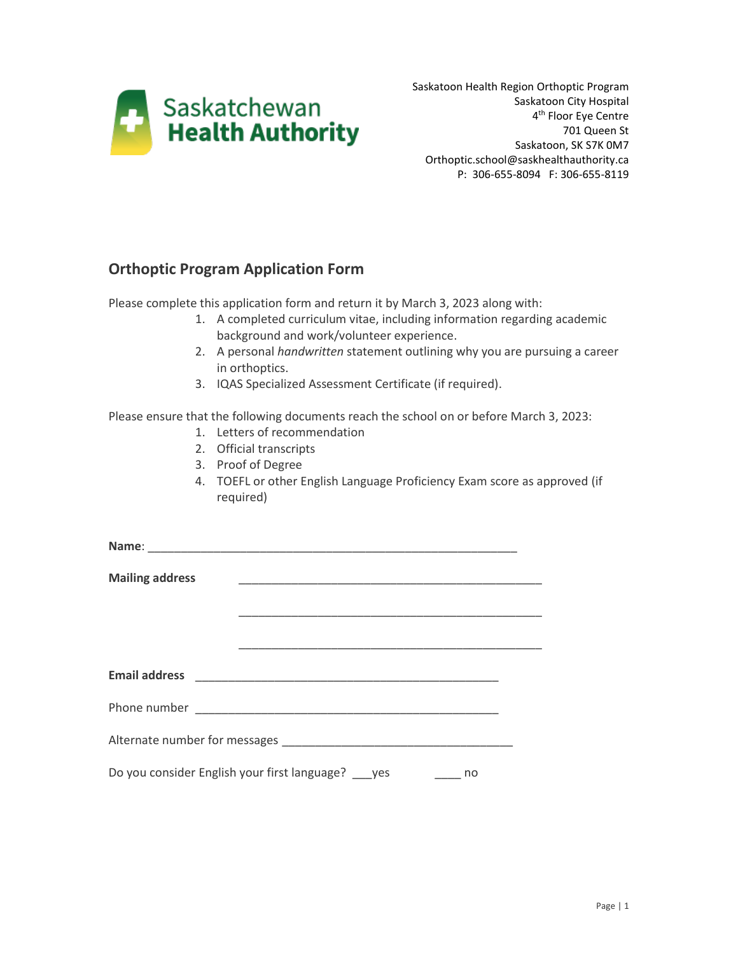

Saskatoon Health Region Orthoptic Program Saskatoon City Hospital 4<sup>th</sup> Floor Eye Centre 701 Queen St Saskatoon, SK S7K 0M7 Orthoptic.school@saskhealthauthority.ca P: 306-655-8094 F: 306-655-8119

## **Orthoptic Program Application Form**

Please complete this application form and return it by March 3, 2023 along with:

- 1. A completed curriculum vitae, including information regarding academic background and work/volunteer experience.
- 2. A personal *handwritten* statement outlining why you are pursuing a career in orthoptics.
- 3. IQAS Specialized Assessment Certificate (if required).

Please ensure that the following documents reach the school on or before March 3, 2023:

- 1. Letters of recommendation
- 2. Official transcripts
- 3. Proof of Degree
- 4. TOEFL or other English Language Proficiency Exam score as approved (if required)

| <b>Mailing address</b> |                                                                                                                        |    |  |
|------------------------|------------------------------------------------------------------------------------------------------------------------|----|--|
|                        |                                                                                                                        |    |  |
|                        | <u> 1989 - Johann John Stone, mars et al. 1989 - John Stone, mars et al. 1989 - John Stone, mars et al. 1989 - Joh</u> |    |  |
|                        |                                                                                                                        |    |  |
|                        |                                                                                                                        |    |  |
|                        |                                                                                                                        |    |  |
|                        |                                                                                                                        |    |  |
|                        | Do you consider English your first language? ___ yes                                                                   | no |  |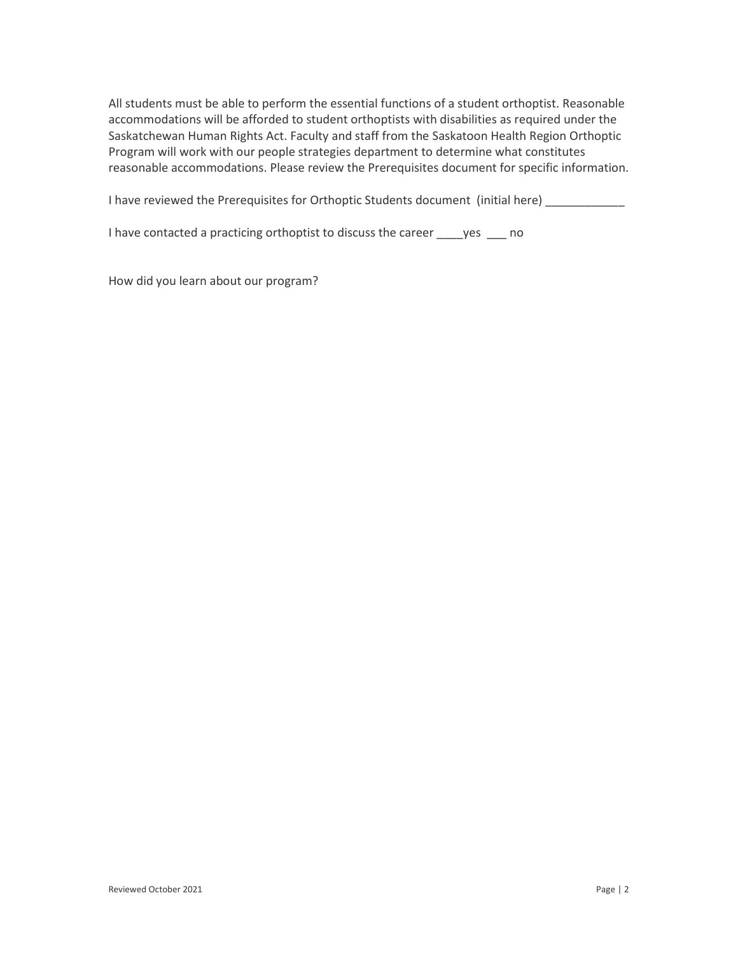All students must be able to perform the essential functions of a student orthoptist. Reasonable accommodations will be afforded to student orthoptists with disabilities as required under the Saskatchewan Human Rights Act. Faculty and staff from the Saskatoon Health Region Orthoptic Program will work with our people strategies department to determine what constitutes reasonable accommodations. Please review the Prerequisites document for specific information.

I have reviewed the Prerequisites for Orthoptic Students document (initial here)

I have contacted a practicing orthoptist to discuss the career yes no

How did you learn about our program?